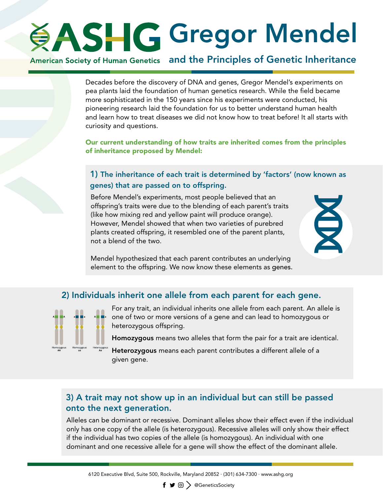# **SASHG Gregor Mendel**

## American Society of Human Genetics and the Principles of Genetic Inheritance

Decades before the discovery of DNA and genes, Gregor Mendel's experiments on pea plants laid the foundation of human genetics research. While the field became more sophisticated in the 150 years since his experiments were conducted, his pioneering research laid the foundation for us to better understand human health and learn how to treat diseases we did not know how to treat before! It all starts with curiosity and questions.

Our current understanding of how traits are inherited comes from the principles of inheritance proposed by Mendel:

#### 1) The inheritance of each trait is determined by 'factors' (now known as genes) that are passed on to offspring.

Before Mendel's experiments, most people believed that an offspring's traits were due to the blending of each parent's traits (like how mixing red and yellow paint will produce orange). However, Mendel showed that when two varieties of purebred plants created offspring, it resembled one of the parent plants, not a blend of the two.



Mendel hypothesized that each parent contributes an underlying element to the offspring. We now know these elements as genes.

#### 2) Individuals inherit one allele from each parent for each gene.



For any trait, an individual inherits one allele from each parent. An allele is one of two or more versions of a gene and can lead to homozygous or heterozygous offspring.

Homozygous means two alleles that form the pair for a trait are identical.

Heterozygous means each parent contributes a different allele of a given gene.

### 3) A trait may not show up in an individual but can still be passed onto the next generation.

Alleles can be dominant or recessive. Dominant alleles show their effect even if the individual only has one copy of the allele (is heterozygous). Recessive alleles will only show their effect if the individual has two copies of the allele (is homozygous). An individual with one dominant and one recessive allele for a gene will show the effect of the dominant allele.

 $\mathsf{f} \bullet \circledcirc$   $\Diamond$  @GeneticsSociety